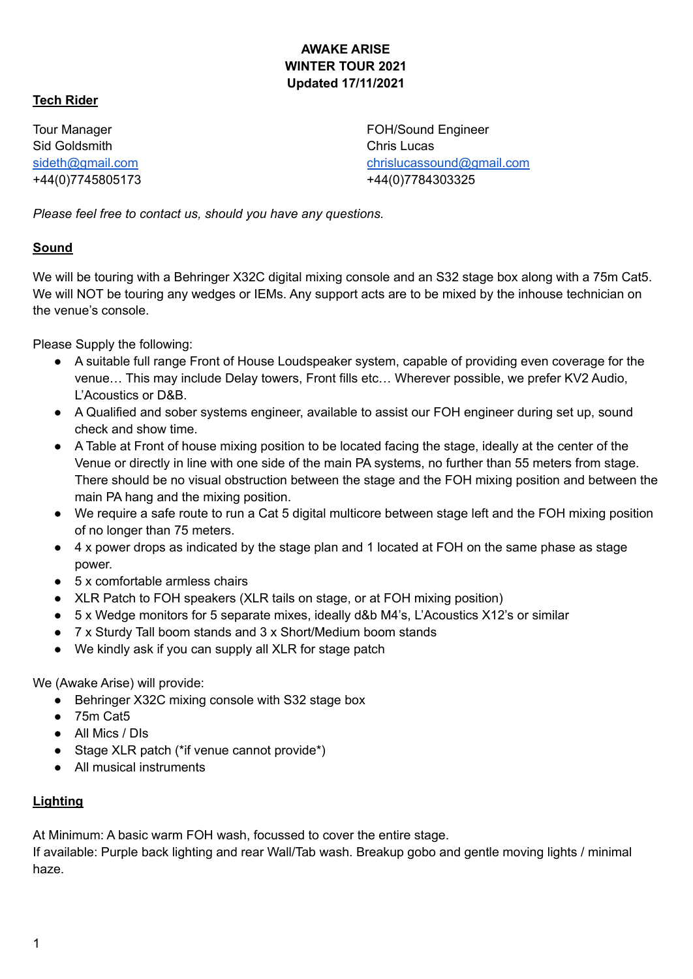#### **AWAKE ARISE WINTER TOUR 2021 Updated 17/11/2021**

#### **Tech Rider**

Tour Manager Sid Goldsmith [sideth@gmail.com](mailto:sideth@gmail.com) +44(0)7745805173 FOH/Sound Engineer Chris Lucas [chrislucassound@gmail.com](mailto:chrislucassound@gmail.com) +44(0)7784303325

*Please feel free to contact us, should you have any questions.*

#### **Sound**

We will be touring with a Behringer X32C digital mixing console and an S32 stage box along with a 75m Cat5. We will NOT be touring any wedges or IEMs. Any support acts are to be mixed by the inhouse technician on the venue's console.

Please Supply the following:

- A suitable full range Front of House Loudspeaker system, capable of providing even coverage for the venue… This may include Delay towers, Front fills etc… Wherever possible, we prefer KV2 Audio, L'Acoustics or D&B.
- A Qualified and sober systems engineer, available to assist our FOH engineer during set up, sound check and show time.
- A Table at Front of house mixing position to be located facing the stage, ideally at the center of the Venue or directly in line with one side of the main PA systems, no further than 55 meters from stage. There should be no visual obstruction between the stage and the FOH mixing position and between the main PA hang and the mixing position.
- We require a safe route to run a Cat 5 digital multicore between stage left and the FOH mixing position of no longer than 75 meters.
- 4 x power drops as indicated by the stage plan and 1 located at FOH on the same phase as stage power.
- $\bullet$  5 x comfortable armless chairs
- XLR Patch to FOH speakers (XLR tails on stage, or at FOH mixing position)
- 5 x Wedge monitors for 5 separate mixes, ideally d&b M4's, L'Acoustics X12's or similar
- 7 x Sturdy Tall boom stands and 3 x Short/Medium boom stands
- We kindly ask if you can supply all XLR for stage patch

We (Awake Arise) will provide:

- Behringer X32C mixing console with S32 stage box
- 75m Cat5
- All Mics / DIs
- Stage XLR patch (\*if venue cannot provide\*)
- All musical instruments

## **Lighting**

At Minimum: A basic warm FOH wash, focussed to cover the entire stage.

If available: Purple back lighting and rear Wall/Tab wash. Breakup gobo and gentle moving lights / minimal haze.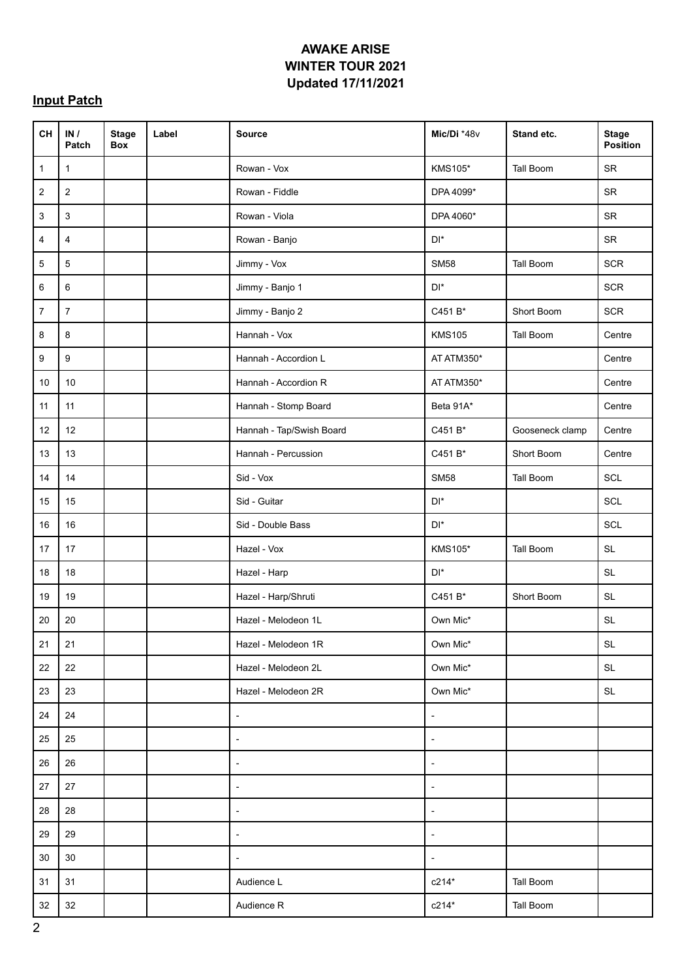## **AWAKE ARISE WINTER TOUR 2021 Updated 17/11/2021**

# **Input Patch**

| <b>CH</b>    | IN/<br>Patch     | <b>Stage</b><br>Box | Label | <b>Source</b>            | Mic/Di *48v                    | Stand etc.       | <b>Stage</b><br>Position                    |
|--------------|------------------|---------------------|-------|--------------------------|--------------------------------|------------------|---------------------------------------------|
| $\mathbf{1}$ | $\mathbf{1}$     |                     |       | Rowan - Vox              | <b>KMS105*</b>                 | Tall Boom        | <b>SR</b>                                   |
| 2            | $\mathbf 2$      |                     |       | Rowan - Fiddle           | DPA 4099*                      |                  | SR                                          |
| 3            | $\mathfrak{Z}$   |                     |       | Rowan - Viola            | DPA 4060*                      |                  | <b>SR</b>                                   |
| 4            | $\overline{4}$   |                     |       | Rowan - Banjo            | $\mathsf{D}\mathsf{I}^{\star}$ |                  | SR                                          |
| 5            | $\mathbf 5$      |                     |       | Jimmy - Vox              | <b>SM58</b>                    | <b>Tall Boom</b> | <b>SCR</b>                                  |
| 6            | 6                |                     |       | Jimmy - Banjo 1          | $\mathsf{D}\mathsf{I}^{\star}$ |                  | <b>SCR</b>                                  |
| 7            | $\overline{7}$   |                     |       | Jimmy - Banjo 2          | C451 B*                        | Short Boom       | <b>SCR</b>                                  |
| 8            | 8                |                     |       | Hannah - Vox             | <b>KMS105</b>                  | Tall Boom        | Centre                                      |
| 9            | $\boldsymbol{9}$ |                     |       | Hannah - Accordion L     | AT ATM350*                     |                  | Centre                                      |
| 10           | 10               |                     |       | Hannah - Accordion R     | AT ATM350*                     |                  | Centre                                      |
| 11           | 11               |                     |       | Hannah - Stomp Board     | Beta 91A*                      |                  | Centre                                      |
| 12           | 12               |                     |       | Hannah - Tap/Swish Board | C451 B*                        | Gooseneck clamp  | Centre                                      |
| 13           | 13               |                     |       | Hannah - Percussion      | C451 B*                        | Short Boom       | Centre                                      |
| 14           | 14               |                     |       | Sid - Vox                | <b>SM58</b>                    | Tall Boom        | SCL                                         |
| 15           | 15               |                     |       | Sid - Guitar             | $\mathsf{D}\mathsf{I}^{\star}$ |                  | SCL                                         |
| 16           | 16               |                     |       | Sid - Double Bass        | $\mathsf{D}\mathsf{I}^{\star}$ |                  | SCL                                         |
| 17           | 17               |                     |       | Hazel - Vox              | <b>KMS105*</b>                 | Tall Boom        | <b>SL</b>                                   |
| 18           | 18               |                     |       | Hazel - Harp             | $\mathsf{D}\mathsf{I}^{\star}$ |                  | $\mathsf{SL}% _{2}\left( \mathbb{Z}\right)$ |
| 19           | 19               |                     |       | Hazel - Harp/Shruti      | C451 B*                        | Short Boom       | <b>SL</b>                                   |
| 20           | 20               |                     |       | Hazel - Melodeon 1L      | Own Mic*                       |                  | $\mathsf{SL}% _{2}\left( \mathbb{Z}\right)$ |
| 21           | 21               |                     |       | Hazel - Melodeon 1R      | Own Mic*                       |                  | $\mathsf{SL}% _{2}\left( \mathbb{Z}\right)$ |
| 22           | 22               |                     |       | Hazel - Melodeon 2L      | Own Mic*                       |                  | SL                                          |
| 23           | 23               |                     |       | Hazel - Melodeon 2R      | Own Mic*                       |                  | SL                                          |
| 24           | 24               |                     |       | $\overline{\phantom{a}}$ | $\blacksquare$                 |                  |                                             |
| 25           | 25               |                     |       | $\overline{\phantom{a}}$ | $\overline{\phantom{a}}$       |                  |                                             |
| 26           | 26               |                     |       | $\overline{\phantom{a}}$ | $\overline{\phantom{a}}$       |                  |                                             |
| 27           | 27               |                     |       | $\overline{\phantom{a}}$ | $\overline{\phantom{a}}$       |                  |                                             |
| 28           | 28               |                     |       | $\overline{\phantom{a}}$ | $\overline{\phantom{a}}$       |                  |                                             |
| 29           | 29               |                     |       | $\overline{\phantom{a}}$ | $\overline{\phantom{a}}$       |                  |                                             |
| 30           | $30\,$           |                     |       | $\overline{\phantom{a}}$ | $\overline{\phantom{a}}$       |                  |                                             |
| 31           | 31               |                     |       | Audience L               | $c214*$                        | Tall Boom        |                                             |
| 32           | 32               |                     |       | Audience R               | $c214*$                        | Tall Boom        |                                             |